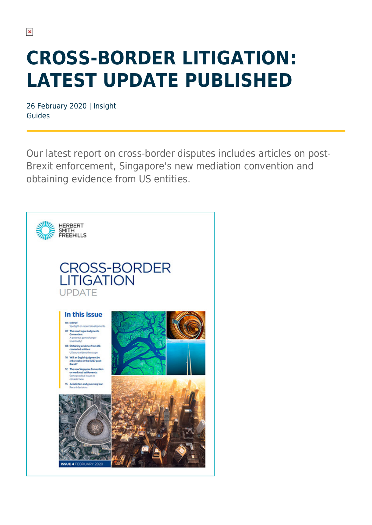## **CROSS-BORDER LITIGATION: LATEST UPDATE PUBLISHED**

26 February 2020 | Insight Guides

Our latest report on cross-border disputes includes articles on post-Brexit enforcement, Singapore's new mediation convention and obtaining evidence from US entities.

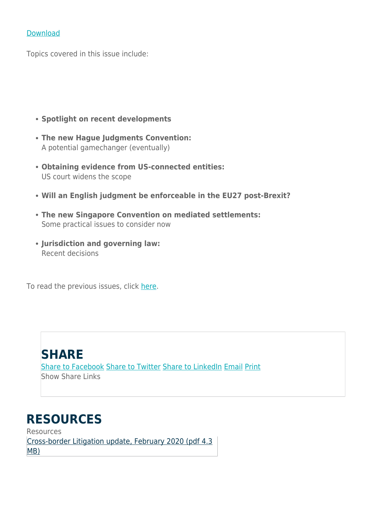#### [Download](https://www.herbertsmithfreehills.com/file/42746/download?token=NJBUn10V)

Topics covered in this issue include:

- **Spotlight on recent developments**
- **The new Hague Judgments Convention:** A potential gamechanger (eventually)
- **Obtaining evidence from US-connected entities:** US court widens the scope
- **Will an English judgment be enforceable in the EU27 post-Brexit?**
- **The new Singapore Convention on mediated settlements:** Some practical issues to consider now
- **Jurisdiction and governing law:** Recent decisions

To read the previous issues, click [here](https://www.herbertsmithfreehills.com/latest-thinking/cross-border-litigation-international-perspectives-issue-3).

#### **SHARE**

[Share to Facebook](https://www.facebook.com/sharer/sharer.php?u=https://www.herbertsmithfreehills.com/lang-es/hsfpdf/insight/cross-border-litigation-latest-update-published) [Share to Twitter](https://twitter.com/intent/tweet?text=https://www.herbertsmithfreehills.com/lang-es/hsfpdf/insight/cross-border-litigation-latest-update-published) [Share to LinkedIn](https://www.linkedin.com/shareArticle?url=https://www.herbertsmithfreehills.com/lang-es/hsfpdf/insight/cross-border-litigation-latest-update-published) [Email](mailto:?subject=Herbert Smith Freehills - Cross-border litigation: Latest update published&body=https://www.herbertsmithfreehills.com/lang-es/hsfpdf/insight/cross-border-litigation-latest-update-published) [Print](https://www.herbertsmithfreehills.com/lang-es/javascript%3Awindow.print%28%29) Show Share Links

#### **RESOURCES**

Resources [Cross-border Litigation update, February 2020 \(pdf](https://www.herbertsmithfreehills.com/lang-es/file/42746/download?token=NJBUn10V) [4.3](https://www.herbertsmithfreehills.com/lang-es/file/42746/download?token=NJBUn10V) [MB\)](https://www.herbertsmithfreehills.com/lang-es/file/42746/download?token=NJBUn10V)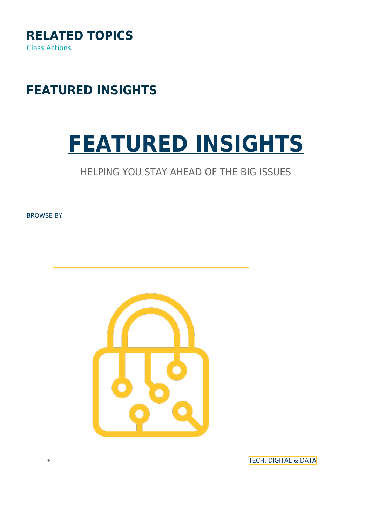

### **FEATURED INSIGHTS**

# **[FEATURED INSIGHTS](https://www.herbertsmithfreehills.com/insights)**

#### HELPING YOU STAY AHEAD OF THE BIG ISSUES

BROWSE BY:



[TECH, DIGITAL & DATA](https://www.herbertsmithfreehills.com/lang-es/insights/tech-digital-data)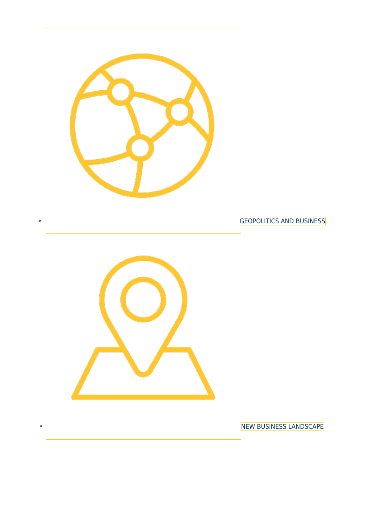

[GEOPOLITICS AND BUSINESS](https://www.herbertsmithfreehills.com/lang-es/insights/geopolitics-and-business)



Ċ

[NEW BUSINESS LANDSCAPE](https://www.herbertsmithfreehills.com/lang-es/insights/new-business-landscape)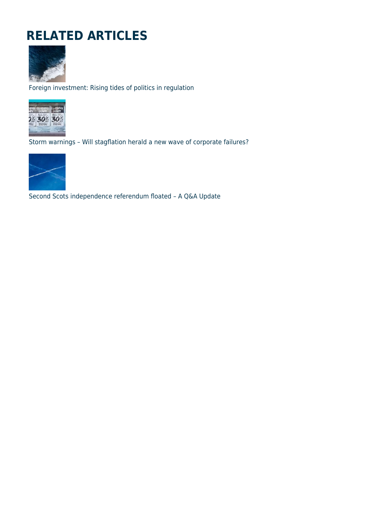### **RELATED ARTICLES**



Foreign investment: Rising tides of politics in regulation



Storm warnings – Will stagflation herald a new wave of corporate failures?



Second Scots independence referendum floated – A Q&A Update